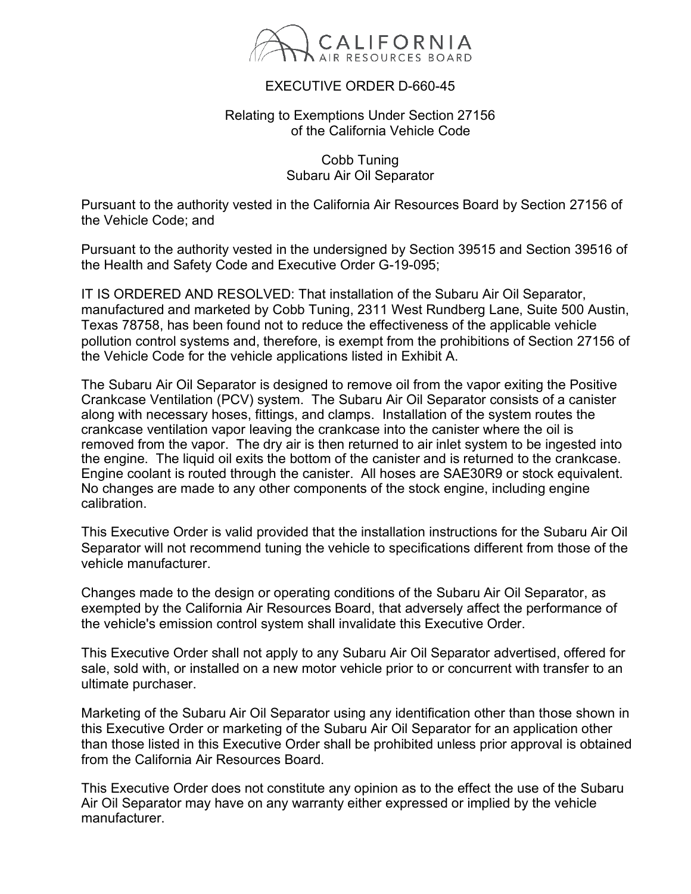

## EXECUTIVE ORDER D-660-45

## Relating to Exemptions Under Section 27156 of the California Vehicle Code

Cobb Tuning Subaru Air Oil Separator

Pursuant to the authority vested in the California Air Resources Board by Section 27156 of the Vehicle Code; and

Pursuant to the authority vested in the undersigned by Section 39515 and Section 39516 of the Health and Safety Code and Executive Order G-19-095;

IT IS ORDERED AND RESOLVED: That installation of the Subaru Air Oil Separator, manufactured and marketed by Cobb Tuning, 2311 West Rundberg Lane, Suite 500 Austin, Texas 78758, has been found not to reduce the effectiveness of the applicable vehicle pollution control systems and, therefore, is exempt from the prohibitions of Section 27156 of the Vehicle Code for the vehicle applications listed in Exhibit A.

The Subaru Air Oil Separator is designed to remove oil from the vapor exiting the Positive Crankcase Ventilation (PCV) system. The Subaru Air Oil Separator consists of a canister along with necessary hoses, fittings, and clamps. Installation of the system routes the crankcase ventilation vapor leaving the crankcase into the canister where the oil is removed from the vapor. The dry air is then returned to air inlet system to be ingested into the engine. The liquid oil exits the bottom of the canister and is returned to the crankcase. Engine coolant is routed through the canister. All hoses are SAE30R9 or stock equivalent. No changes are made to any other components of the stock engine, including engine calibration.

This Executive Order is valid provided that the installation instructions for the Subaru Air Oil Separator will not recommend tuning the vehicle to specifications different from those of the vehicle manufacturer.

Changes made to the design or operating conditions of the Subaru Air Oil Separator, as exempted by the California Air Resources Board, that adversely affect the performance of the vehicle's emission control system shall invalidate this Executive Order.

This Executive Order shall not apply to any Subaru Air Oil Separator advertised, offered for sale, sold with, or installed on a new motor vehicle prior to or concurrent with transfer to an ultimate purchaser.

Marketing of the Subaru Air Oil Separator using any identification other than those shown in this Executive Order or marketing of the Subaru Air Oil Separator for an application other than those listed in this Executive Order shall be prohibited unless prior approval is obtained from the California Air Resources Board.

This Executive Order does not constitute any opinion as to the effect the use of the Subaru Air Oil Separator may have on any warranty either expressed or implied by the vehicle manufacturer.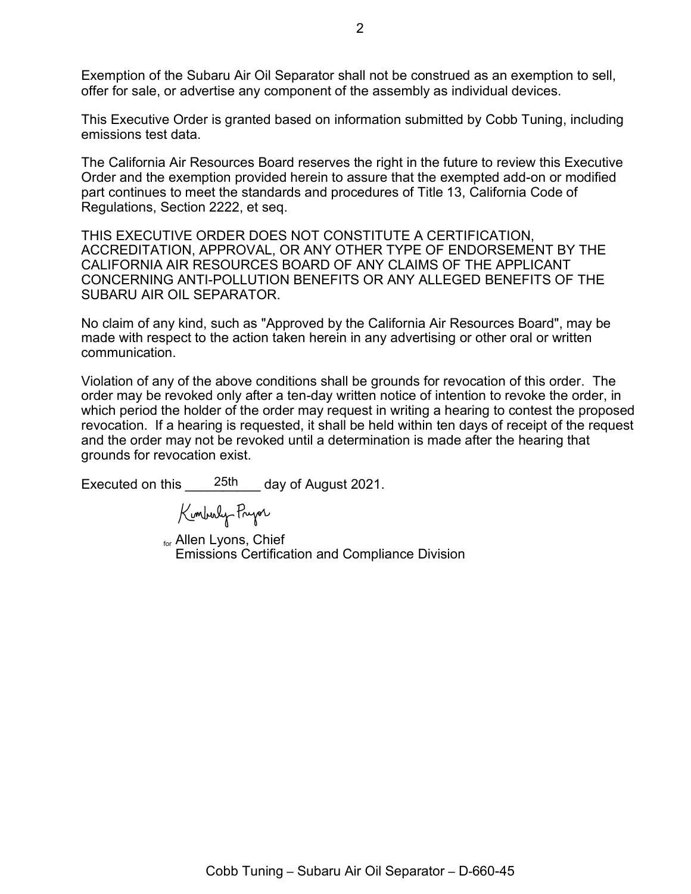Exemption of the Subaru Air Oil Separator shall not be construed as an exemption to sell, offer for sale, or advertise any component of the assembly as individual devices.

This Executive Order is granted based on information submitted by Cobb Tuning, including emissions test data.

The California Air Resources Board reserves the right in the future to review this Executive Order and the exemption provided herein to assure that the exempted add-on or modified part continues to meet the standards and procedures of Title 13, California Code of Regulations, Section 2222, et seq.

THIS EXECUTIVE ORDER DOES NOT CONSTITUTE A CERTIFICATION, ACCREDITATION, APPROVAL, OR ANY OTHER TYPE OF ENDORSEMENT BY THE CALIFORNIA AIR RESOURCES BOARD OF ANY CLAIMS OF THE APPLICANT CONCERNING ANTI-POLLUTION BENEFITS OR ANY ALLEGED BENEFITS OF THE SUBARU AIR OIL SEPARATOR.

No claim of any kind, such as "Approved by the California Air Resources Board", may be made with respect to the action taken herein in any advertising or other oral or written communication.

Violation of any of the above conditions shall be grounds for revocation of this order. The order may be revoked only after a ten-day written notice of intention to revoke the order, in which period the holder of the order may request in writing a hearing to contest the proposed revocation. If a hearing is requested, it shall be held within ten days of receipt of the request and the order may not be revoked until a determination is made after the hearing that grounds for revocation exist.

Executed on this  $\frac{25th}{\text{day of August 2021}}$ .

Kemberly Pryor

<sub>for</sub> Allen Lyons, Chief Emissions Certification and Compliance Division